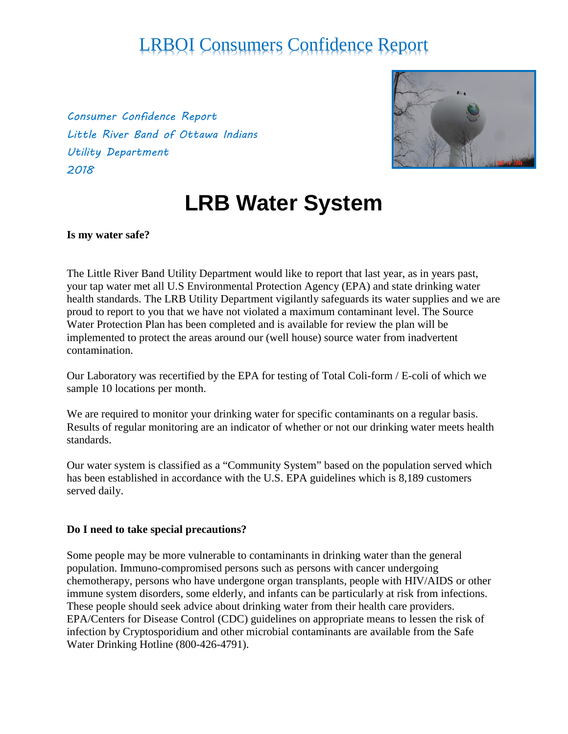*Consumer Confidence Report Little River Band of Ottawa Indians Utility Department 2018*



# **LRB Water System**

**Is my water safe?**

The Little River Band Utility Department would like to report that last year, as in years past, your tap water met all U.S Environmental Protection Agency (EPA) and state drinking water health standards. The LRB Utility Department vigilantly safeguards its water supplies and we are proud to report to you that we have not violated a maximum contaminant level. The Source Water Protection Plan has been completed and is available for review the plan will be implemented to protect the areas around our (well house) source water from inadvertent contamination.

Our Laboratory was recertified by the EPA for testing of Total Coli-form / E-coli of which we sample 10 locations per month.

We are required to monitor your drinking water for specific contaminants on a regular basis. Results of regular monitoring are an indicator of whether or not our drinking water meets health standards.

Our water system is classified as a "Community System" based on the population served which has been established in accordance with the U.S. EPA guidelines which is 8,189 customers served daily.

### **Do I need to take special precautions?**

Some people may be more vulnerable to contaminants in drinking water than the general population. Immuno-compromised persons such as persons with cancer undergoing chemotherapy, persons who have undergone organ transplants, people with HIV/AIDS or other immune system disorders, some elderly, and infants can be particularly at risk from infections. These people should seek advice about drinking water from their health care providers. EPA/Centers for Disease Control (CDC) guidelines on appropriate means to lessen the risk of infection by Cryptosporidium and other microbial contaminants are available from the Safe Water Drinking Hotline (800-426-4791).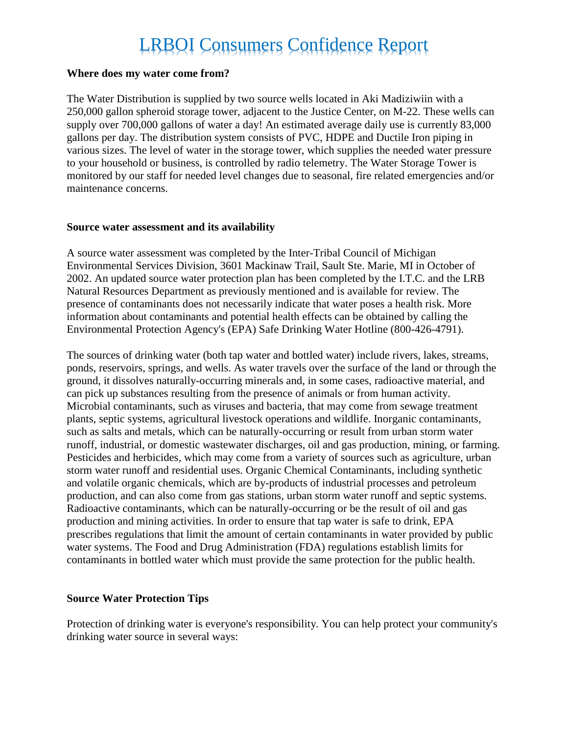### **Where does my water come from?**

The Water Distribution is supplied by two source wells located in Aki Madiziwiin with a 250,000 gallon spheroid storage tower, adjacent to the Justice Center, on M-22. These wells can supply over 700,000 gallons of water a day! An estimated average daily use is currently 83,000 gallons per day. The distribution system consists of PVC, HDPE and Ductile Iron piping in various sizes. The level of water in the storage tower, which supplies the needed water pressure to your household or business, is controlled by radio telemetry. The Water Storage Tower is monitored by our staff for needed level changes due to seasonal, fire related emergencies and/or maintenance concerns.

#### **Source water assessment and its availability**

A source water assessment was completed by the Inter-Tribal Council of Michigan Environmental Services Division, 3601 Mackinaw Trail, Sault Ste. Marie, MI in October of 2002. An updated source water protection plan has been completed by the I.T.C. and the LRB Natural Resources Department as previously mentioned and is available for review. The presence of contaminants does not necessarily indicate that water poses a health risk. More information about contaminants and potential health effects can be obtained by calling the Environmental Protection Agency's (EPA) Safe Drinking Water Hotline (800-426-4791).

The sources of drinking water (both tap water and bottled water) include rivers, lakes, streams, ponds, reservoirs, springs, and wells. As water travels over the surface of the land or through the ground, it dissolves naturally-occurring minerals and, in some cases, radioactive material, and can pick up substances resulting from the presence of animals or from human activity. Microbial contaminants, such as viruses and bacteria, that may come from sewage treatment plants, septic systems, agricultural livestock operations and wildlife. Inorganic contaminants, such as salts and metals, which can be naturally-occurring or result from urban storm water runoff, industrial, or domestic wastewater discharges, oil and gas production, mining, or farming. Pesticides and herbicides, which may come from a variety of sources such as agriculture, urban storm water runoff and residential uses. Organic Chemical Contaminants, including synthetic and volatile organic chemicals, which are by-products of industrial processes and petroleum production, and can also come from gas stations, urban storm water runoff and septic systems. Radioactive contaminants, which can be naturally-occurring or be the result of oil and gas production and mining activities. In order to ensure that tap water is safe to drink, EPA prescribes regulations that limit the amount of certain contaminants in water provided by public water systems. The Food and Drug Administration (FDA) regulations establish limits for contaminants in bottled water which must provide the same protection for the public health.

### **Source Water Protection Tips**

Protection of drinking water is everyone's responsibility. You can help protect your community's drinking water source in several ways: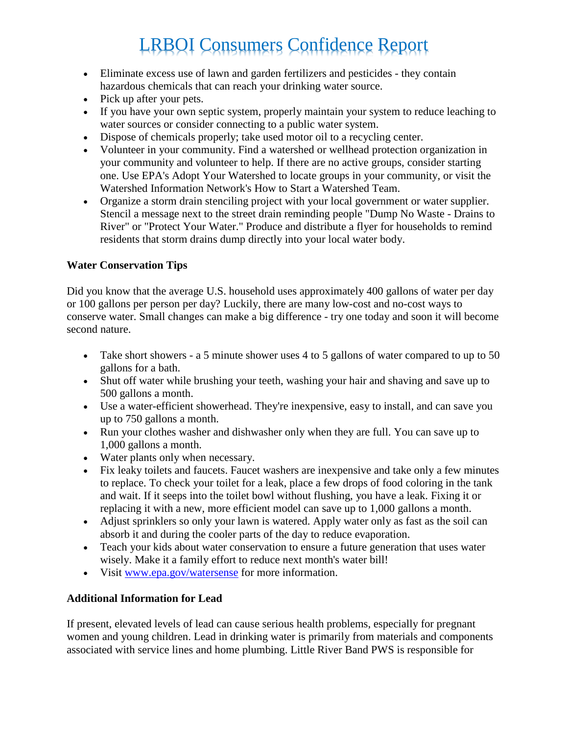- Eliminate excess use of lawn and garden fertilizers and pesticides they contain hazardous chemicals that can reach your drinking water source.
- Pick up after your pets.
- If you have your own septic system, properly maintain your system to reduce leaching to water sources or consider connecting to a public water system.
- Dispose of chemicals properly; take used motor oil to a recycling center.
- Volunteer in your community. Find a watershed or wellhead protection organization in your community and volunteer to help. If there are no active groups, consider starting one. Use EPA's Adopt Your Watershed to locate groups in your community, or visit the Watershed Information Network's How to Start a Watershed Team.
- Organize a storm drain stenciling project with your local government or water supplier. Stencil a message next to the street drain reminding people "Dump No Waste - Drains to River" or "Protect Your Water." Produce and distribute a flyer for households to remind residents that storm drains dump directly into your local water body.

### **Water Conservation Tips**

Did you know that the average U.S. household uses approximately 400 gallons of water per day or 100 gallons per person per day? Luckily, there are many low-cost and no-cost ways to conserve water. Small changes can make a big difference - try one today and soon it will become second nature.

- Take short showers a 5 minute shower uses 4 to 5 gallons of water compared to up to 50 gallons for a bath.
- Shut off water while brushing your teeth, washing your hair and shaving and save up to 500 gallons a month.
- Use a water-efficient showerhead. They're inexpensive, easy to install, and can save you up to 750 gallons a month.
- Run your clothes washer and dishwasher only when they are full. You can save up to 1,000 gallons a month.
- Water plants only when necessary.
- Fix leaky toilets and faucets. Faucet washers are inexpensive and take only a few minutes to replace. To check your toilet for a leak, place a few drops of food coloring in the tank and wait. If it seeps into the toilet bowl without flushing, you have a leak. Fixing it or replacing it with a new, more efficient model can save up to 1,000 gallons a month.
- Adjust sprinklers so only your lawn is watered. Apply water only as fast as the soil can absorb it and during the cooler parts of the day to reduce evaporation.
- Teach your kids about water conservation to ensure a future generation that uses water wisely. Make it a family effort to reduce next month's water bill!
- Visit [www.epa.gov/watersense](http://www.epa.gov/watersense) for more information.

### **Additional Information for Lead**

If present, elevated levels of lead can cause serious health problems, especially for pregnant women and young children. Lead in drinking water is primarily from materials and components associated with service lines and home plumbing. Little River Band PWS is responsible for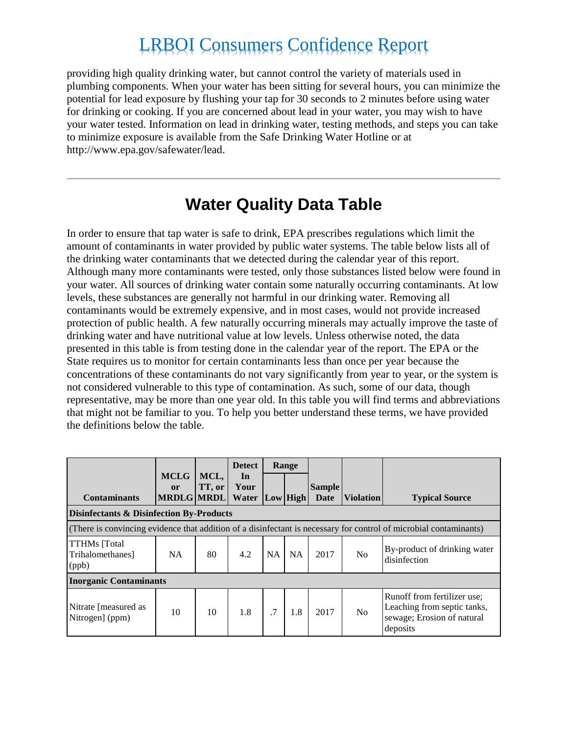providing high quality drinking water, but cannot control the variety of materials used in plumbing components. When your water has been sitting for several hours, you can minimize the potential for lead exposure by flushing your tap for 30 seconds to 2 minutes before using water for drinking or cooking. If you are concerned about lead in your water, you may wish to have your water tested. Information on lead in drinking water, testing methods, and steps you can take to minimize exposure is available from the Safe Drinking Water Hotline or at http://www.epa.gov/safewater/lead.

### **Water Quality Data Table**

In order to ensure that tap water is safe to drink, EPA prescribes regulations which limit the amount of contaminants in water provided by public water systems. The table below lists all of the drinking water contaminants that we detected during the calendar year of this report. Although many more contaminants were tested, only those substances listed below were found in your water. All sources of drinking water contain some naturally occurring contaminants. At low levels, these substances are generally not harmful in our drinking water. Removing all contaminants would be extremely expensive, and in most cases, would not provide increased protection of public health. A few naturally occurring minerals may actually improve the taste of drinking water and have nutritional value at low levels. Unless otherwise noted, the data presented in this table is from testing done in the calendar year of the report. The EPA or the State requires us to monitor for certain contaminants less than once per year because the concentrations of these contaminants do not vary significantly from year to year, or the system is not considered vulnerable to this type of contamination. As such, some of our data, though representative, may be more than one year old. In this table you will find terms and abbreviations that might not be familiar to you. To help you better understand these terms, we have provided the definitions below the table.

|                                                                                                                   |                          |                | <b>Detect</b> |           | Range     |               |                  |                                                                                                      |
|-------------------------------------------------------------------------------------------------------------------|--------------------------|----------------|---------------|-----------|-----------|---------------|------------------|------------------------------------------------------------------------------------------------------|
|                                                                                                                   | <b>MCLG</b><br><b>or</b> | MCL,<br>TT, or | In<br>Your    |           |           | <b>Sample</b> |                  |                                                                                                      |
| <b>Contaminants</b>                                                                                               | MRDLG MRDL               |                | Water         |           | Low High  | Date          | <b>Violation</b> | <b>Typical Source</b>                                                                                |
| <b>Disinfectants &amp; Disinfection By-Products</b>                                                               |                          |                |               |           |           |               |                  |                                                                                                      |
| (There is convincing evidence that addition of a disinfectant is necessary for control of microbial contaminants) |                          |                |               |           |           |               |                  |                                                                                                      |
| <b>TTHMs</b> [Total<br>Trihalomethanes]<br>(ppb)                                                                  | <b>NA</b>                | 80             | 4.2           | <b>NA</b> | <b>NA</b> | 2017          | N <sub>0</sub>   | By-product of drinking water<br>disinfection                                                         |
| <b>Inorganic Contaminants</b>                                                                                     |                          |                |               |           |           |               |                  |                                                                                                      |
| Nitrate [measured as<br>Nitrogen] (ppm)                                                                           | 10                       | 10             | 1.8           | .7        | 1.8       | 2017          | N <sub>0</sub>   | Runoff from fertilizer use;<br>Leaching from septic tanks,<br>sewage; Erosion of natural<br>deposits |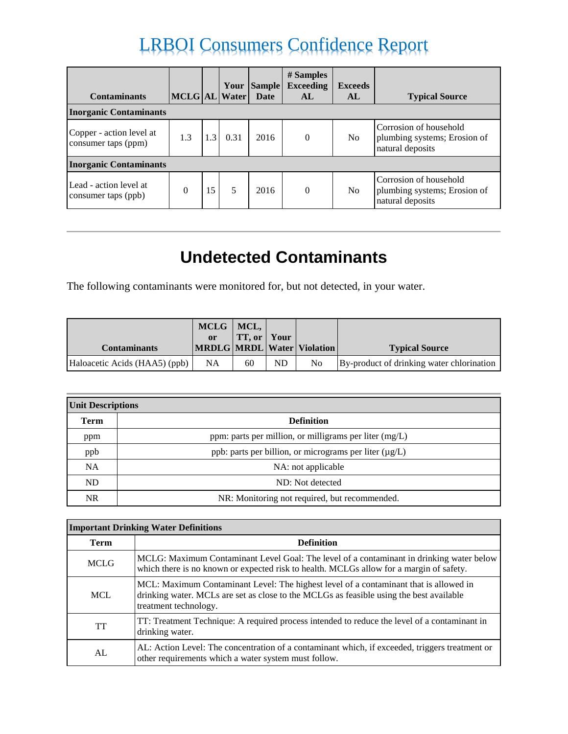| <b>Contaminants</b>                             | MCLG AL Water |     |      | Your Sample<br><b>Date</b> | # Samples<br><b>Exceeding</b><br>AL | <b>Exceeds</b><br>AL | <b>Typical Source</b>                                                      |
|-------------------------------------------------|---------------|-----|------|----------------------------|-------------------------------------|----------------------|----------------------------------------------------------------------------|
| <b>Inorganic Contaminants</b>                   |               |     |      |                            |                                     |                      |                                                                            |
| Copper - action level at<br>consumer taps (ppm) | 1.3           | 1.3 | 0.31 | 2016                       | $\theta$                            | N <sub>o</sub>       | Corrosion of household<br>plumbing systems; Erosion of<br>natural deposits |
| <b>Inorganic Contaminants</b>                   |               |     |      |                            |                                     |                      |                                                                            |
| Lead - action level at<br>consumer taps (ppb)   | $\theta$      | 15  |      | 2016                       | $\theta$                            | N <sub>o</sub>       | Corrosion of household<br>plumbing systems; Erosion of<br>natural deposits |

### **Undetected Contaminants**

The following contaminants were monitored for, but not detected, in your water.

|                               | MCLG MCL,<br><sub>or</sub> | <b>TT, or Your</b> |           |                                  |                                           |
|-------------------------------|----------------------------|--------------------|-----------|----------------------------------|-------------------------------------------|
| <b>Contaminants</b>           |                            |                    |           | MRDLG   MRDL   Water   Violation | <b>Typical Source</b>                     |
| Haloacetic Acids (HAA5) (ppb) | <b>NA</b>                  | 60                 | <b>ND</b> | N <sub>0</sub>                   | By-product of drinking water chlorination |

| <b>Unit Descriptions</b> |                                                          |  |  |  |  |
|--------------------------|----------------------------------------------------------|--|--|--|--|
| <b>Term</b>              | <b>Definition</b>                                        |  |  |  |  |
| ppm                      | ppm: parts per million, or milligrams per liter $(mg/L)$ |  |  |  |  |
| ppb                      | ppb: parts per billion, or micrograms per liter (µg/L)   |  |  |  |  |
| <b>NA</b>                | NA: not applicable                                       |  |  |  |  |
| ND                       | ND: Not detected                                         |  |  |  |  |
| <b>NR</b>                | NR: Monitoring not required, but recommended.            |  |  |  |  |

| <b>Important Drinking Water Definitions</b> |                                                                                                                                                                                                           |  |  |  |
|---------------------------------------------|-----------------------------------------------------------------------------------------------------------------------------------------------------------------------------------------------------------|--|--|--|
| <b>Term</b>                                 | <b>Definition</b>                                                                                                                                                                                         |  |  |  |
| <b>MCLG</b>                                 | MCLG: Maximum Contaminant Level Goal: The level of a contaminant in drinking water below<br>which there is no known or expected risk to health. MCLGs allow for a margin of safety.                       |  |  |  |
| <b>MCL</b>                                  | MCL: Maximum Contaminant Level: The highest level of a contaminant that is allowed in<br>drinking water. MCLs are set as close to the MCLGs as feasible using the best available<br>treatment technology. |  |  |  |
| TT                                          | TT: Treatment Technique: A required process intended to reduce the level of a contaminant in<br>drinking water.                                                                                           |  |  |  |
| AL                                          | AL: Action Level: The concentration of a contaminant which, if exceeded, triggers treatment or<br>other requirements which a water system must follow.                                                    |  |  |  |